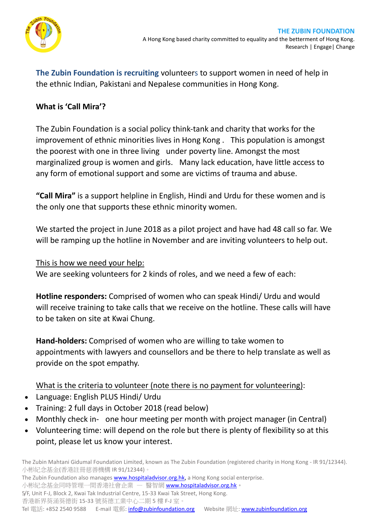

**The Zubin Foundation is recruiting** volunteers to support women in need of help in the ethnic Indian, Pakistani and Nepalese communities in Hong Kong.

## **What is 'Call Mira'?**

The Zubin Foundation is a social policy think-tank and charity that works for the improvement of ethnic minorities lives in Hong Kong . This population is amongst the poorest with one in three living under poverty line. Amongst the most marginalized group is women and girls. Many lack education, have little access to any form of emotional support and some are victims of trauma and abuse.

**"Call Mira"** is a support helpline in English, Hindi and Urdu for these women and is the only one that supports these ethnic minority women.

We started the project in June 2018 as a pilot project and have had 48 call so far. We will be ramping up the hotline in November and are inviting volunteers to help out.

This is how we need your help:

We are seeking volunteers for 2 kinds of roles, and we need a few of each:

**Hotline responders:** Comprised of women who can speak Hindi/ Urdu and would will receive training to take calls that we receive on the hotline. These calls will have to be taken on site at Kwai Chung.

**Hand-holders:** Comprised of women who are willing to take women to appointments with lawyers and counsellors and be there to help translate as well as provide on the spot empathy.

What is the criteria to volunteer (note there is no payment for volunteering):

- Language: English PLUS Hindi/ Urdu
- Training: 2 full days in October 2018 (read below)
- Monthly check in- one hour meeting per month with project manager (in Central)
- Volunteering time: will depend on the role but there is plenty of flexibility so at this point, please let us know your interest.

The Zubin Mahtani Gidumal Foundation Limited, known as The Zubin Foundation (registered charity in Hong Kong - IR 91/12344). 小彬紀念基金(香港註冊慈善機構 IR 91/12344)。

The Zubin Foundation also manages **www.hospitaladvisor.org.hk**, a Hong Kong social enterprise. 小彬紀念基金同時管理一間香港社會企業 — 醫智網 [www.hospitaladvisor.org.hk](http://www.hospitaladvisor.org.hk/)。 5/F, Unit F-J, Block 2, Kwai Tak Industrial Centre, 15-33 Kwai Tak Street, Hong Kong. 香港新界葵涌葵德街 15-33 號葵德工業中心二期 5 樓 F-J 室。

Tel 電話: +852 2540 9588 E-mail 電郵: [info@zubinfoundation.org](mailto:info@zubinfoundation.org) Website 網址: [www.zubinfoundation.org](http://www.zubinfoundation.org/)